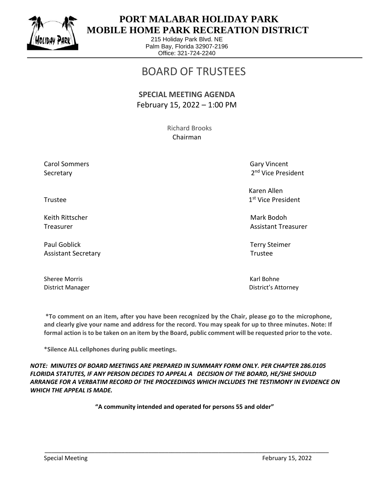

 $\overline{a}$ 

## **PORT MALABAR HOLIDAY PARK MOBILE HOME PARK RECREATION DISTRICT**

215 Holiday Park Blvd. NE Palm Bay, Florida 32907-2196 Office: 321-724-2240

## BOARD OF TRUSTEES

## **SPECIAL MEETING AGENDA** February 15, 2022 – 1:00 PM

 Richard Brooks Chairman

Carol Sommers Gary Vincent Secretary

2<sup>nd</sup> Vice President

 Karen Allen 1st Vice President

Treasurer Assistant Treasurer Assistant Treasurer Assistant Treasurer Assistant Treasurer

District Manager District's Attorney

Trustee and the state of the state of the state of the state of the state of the state of the state of the state of the state of the state of the state of the state of the state of the state of the state of the state of th

Keith Rittscher Mark Bodoh (Mark Bodoh Mark Bodoh Mark Bodoh Mark Bodoh Mark Bodoh Mark Bodoh Mark Bodoh Mark

Paul Goblick Terry Steimer Assistant Secretary **Trustee** 

Sheree Morris **Karl Bohne** Karl Bohne

**\*To comment on an item, after you have been recognized by the Chair, please go to the microphone, and clearly give your name and address for the record. You may speak for up to three minutes. Note: If formal action is to be taken on an item by the Board, public comment will be requested prior to the vote.**

**\*Silence ALL cellphones during public meetings.**

*NOTE: MINUTES OF BOARD MEETINGS ARE PREPARED IN SUMMARY FORM ONLY. PER CHAPTER 286.0105 FLORIDA STATUTES, IF ANY PERSON DECIDES TO APPEAL A DECISION OF THE BOARD, HE/SHE SHOULD ARRANGE FOR A VERBATIM RECORD OF THE PROCEEDINGS WHICH INCLUDES THE TESTIMONY IN EVIDENCE ON WHICH THE APPEAL IS MADE.*

**"A community intended and operated for persons 55 and older"**

\_\_\_\_\_\_\_\_\_\_\_\_\_\_\_\_\_\_\_\_\_\_\_\_\_\_\_\_\_\_\_\_\_\_\_\_\_\_\_\_\_\_\_\_\_\_\_\_\_\_\_\_\_\_\_\_\_\_\_\_\_\_\_\_\_\_\_\_\_\_\_\_\_\_\_\_\_\_\_\_\_\_\_\_\_